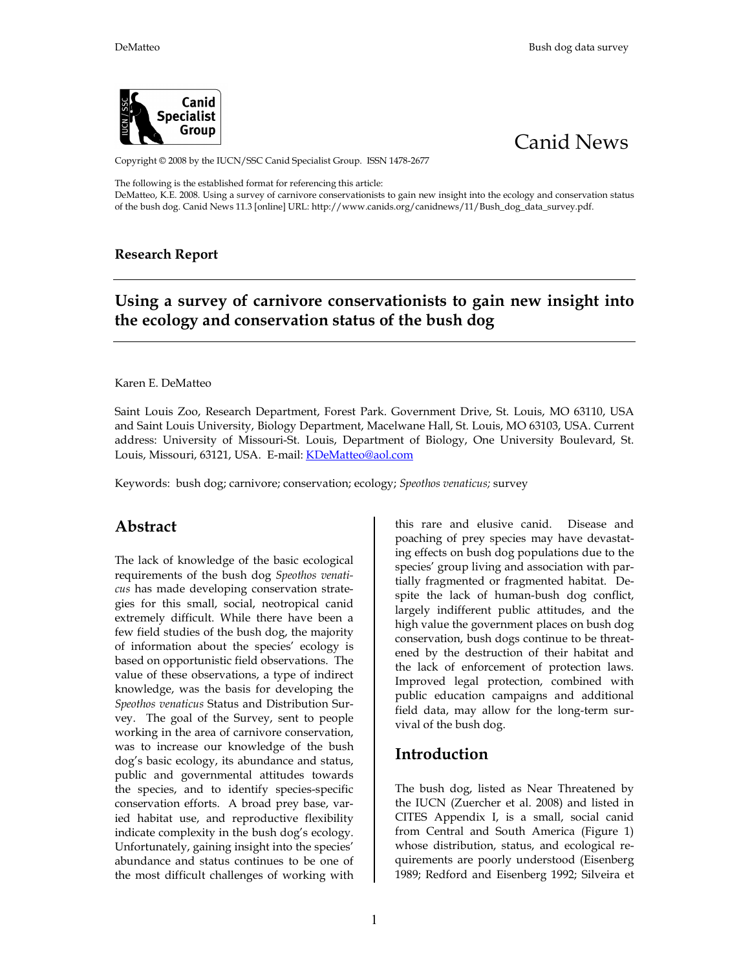



Copyright © 2008 by the IUCN/SSC Canid Specialist Group. ISSN 1478-2677

The following is the established format for referencing this article:

DeMatteo, K.E. 2008. Using a survey of carnivore conservationists to gain new insight into the ecology and conservation status of the bush dog. Canid News 11.3 [online] URL: http://www.canids.org/canidnews/11/Bush\_dog\_data\_survey.pdf.

#### **Research Report**

# **Using a survey of carnivore conservationists to gain new insight into the ecology and conservation status of the bush dog**

#### Karen E. DeMatteo

Saint Louis Zoo, Research Department, Forest Park. Government Drive, St. Louis, MO 63110, USA and Saint Louis University, Biology Department, Macelwane Hall, St. Louis, MO 63103, USA. Current address: University of Missouri-St. Louis, Department of Biology, One University Boulevard, St. Louis, Missouri, 63121, USA. E-mail: KDeMatteo@aol.com

Keywords: bush dog; carnivore; conservation; ecology; *Speothos venaticus;* survey

### **Abstract**

The lack of knowledge of the basic ecological requirements of the bush dog *Speothos venaticus* has made developing conservation strategies for this small, social, neotropical canid extremely difficult. While there have been a few field studies of the bush dog, the majority of information about the species' ecology is based on opportunistic field observations. The value of these observations, a type of indirect knowledge, was the basis for developing the *Speothos venaticus* Status and Distribution Survey. The goal of the Survey, sent to people working in the area of carnivore conservation, was to increase our knowledge of the bush dog's basic ecology, its abundance and status, public and governmental attitudes towards the species, and to identify species-specific conservation efforts. A broad prey base, varied habitat use, and reproductive flexibility indicate complexity in the bush dog's ecology. Unfortunately, gaining insight into the species' abundance and status continues to be one of the most difficult challenges of working with

this rare and elusive canid. Disease and poaching of prey species may have devastating effects on bush dog populations due to the species' group living and association with partially fragmented or fragmented habitat. Despite the lack of human-bush dog conflict, largely indifferent public attitudes, and the high value the government places on bush dog conservation, bush dogs continue to be threatened by the destruction of their habitat and the lack of enforcement of protection laws. Improved legal protection, combined with public education campaigns and additional field data, may allow for the long-term survival of the bush dog.

### **Introduction**

The bush dog, listed as Near Threatened by the IUCN (Zuercher et al. 2008) and listed in CITES Appendix I, is a small, social canid from Central and South America (Figure 1) whose distribution, status, and ecological requirements are poorly understood (Eisenberg 1989; Redford and Eisenberg 1992; Silveira et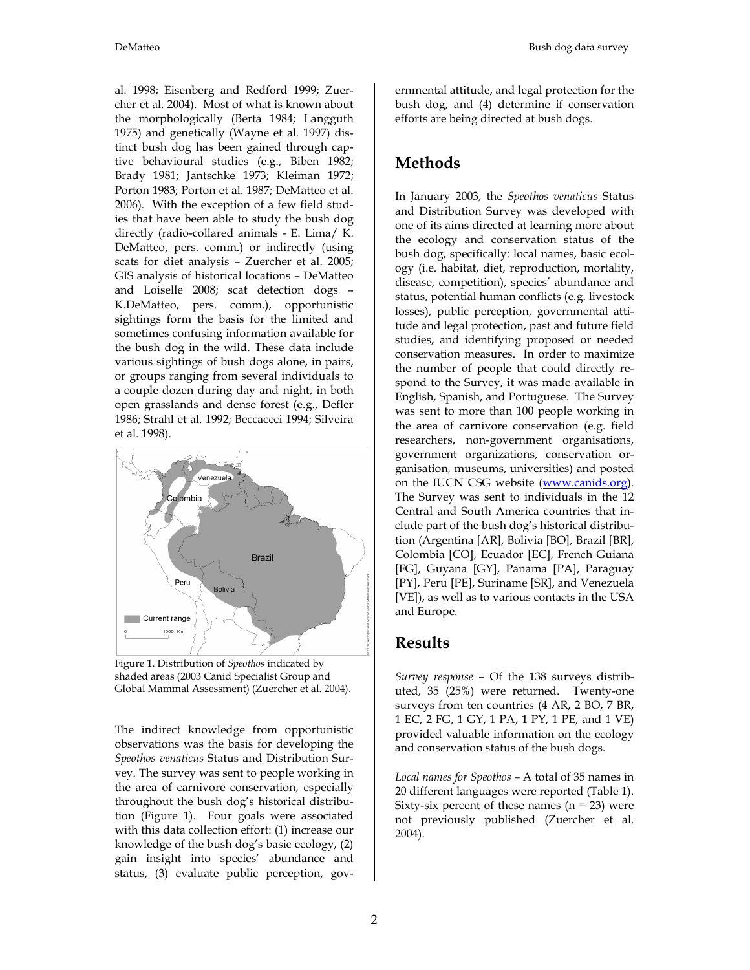al. 1998; Eisenberg and Redford 1999; Zuercher et al. 2004). Most of what is known about the morphologically (Berta 1984; Langguth 1975) and genetically (Wayne et al. 1997) distinct bush dog has been gained through captive behavioural studies (e.g., Biben 1982; Brady 1981; Jantschke 1973; Kleiman 1972; Porton 1983; Porton et al. 1987; DeMatteo et al. 2006). With the exception of a few field studies that have been able to study the bush dog directly (radio-collared animals - E. Lima/ K. DeMatteo, pers. comm.) or indirectly (using scats for diet analysis – Zuercher et al. 2005; GIS analysis of historical locations – DeMatteo and Loiselle 2008; scat detection dogs – K.DeMatteo, pers. comm.), opportunistic sightings form the basis for the limited and sometimes confusing information available for the bush dog in the wild. These data include various sightings of bush dogs alone, in pairs, or groups ranging from several individuals to a couple dozen during day and night, in both open grasslands and dense forest (e.g., Defler 1986; Strahl et al. 1992; Beccaceci 1994; Silveira et al. 1998).



Figure 1. Distribution of *Speothos* indicated by shaded areas (2003 Canid Specialist Group and Global Mammal Assessment) (Zuercher et al. 2004).

The indirect knowledge from opportunistic observations was the basis for developing the *Speothos venaticus* Status and Distribution Survey. The survey was sent to people working in the area of carnivore conservation, especially throughout the bush dog's historical distribution (Figure 1). Four goals were associated with this data collection effort: (1) increase our knowledge of the bush dog's basic ecology, (2) gain insight into species' abundance and status, (3) evaluate public perception, governmental attitude, and legal protection for the bush dog, and (4) determine if conservation efforts are being directed at bush dogs.

### **Methods**

In January 2003, the *Speothos venaticus* Status and Distribution Survey was developed with one of its aims directed at learning more about the ecology and conservation status of the bush dog, specifically: local names, basic ecology (i.e. habitat, diet, reproduction, mortality, disease, competition), species' abundance and status, potential human conflicts (e.g. livestock losses), public perception, governmental attitude and legal protection, past and future field studies, and identifying proposed or needed conservation measures. In order to maximize the number of people that could directly respond to the Survey, it was made available in English, Spanish, and Portuguese. The Survey was sent to more than 100 people working in the area of carnivore conservation (e.g. field researchers, non-government organisations, government organizations, conservation organisation, museums, universities) and posted on the IUCN CSG website (www.canids.org). The Survey was sent to individuals in the 12 Central and South America countries that include part of the bush dog's historical distribution (Argentina [AR], Bolivia [BO], Brazil [BR], Colombia [CO], Ecuador [EC], French Guiana [FG], Guyana [GY], Panama [PA], Paraguay [PY], Peru [PE], Suriname [SR], and Venezuela [VE]), as well as to various contacts in the USA and Europe.

### **Results**

*Survey response –* Of the 138 surveys distributed, 35 (25%) were returned. Twenty-one surveys from ten countries (4 AR, 2 BO, 7 BR, 1 EC, 2 FG, 1 GY, 1 PA, 1 PY, 1 PE, and 1 VE) provided valuable information on the ecology and conservation status of the bush dogs.

*Local names for Speothos –* A total of 35 names in 20 different languages were reported (Table 1). Sixty-six percent of these names  $(n = 23)$  were not previously published (Zuercher et al. 2004).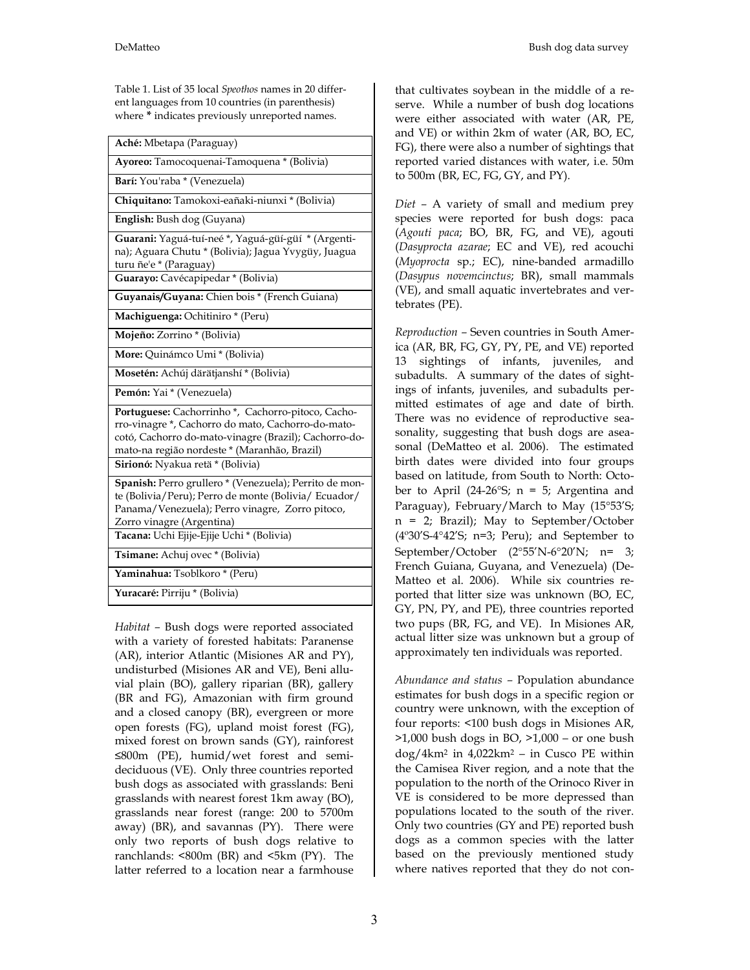Table 1. List of 35 local *Speothos* names in 20 different languages from 10 countries (in parenthesis) where **\*** indicates previously unreported names.

| Aché: Mbetapa (Paraguay)                                                                                                                                                                                                                             |
|------------------------------------------------------------------------------------------------------------------------------------------------------------------------------------------------------------------------------------------------------|
| Ayoreo: Tamocoquenai-Tamoquena * (Bolivia)                                                                                                                                                                                                           |
| Barí: You'raba * (Venezuela)                                                                                                                                                                                                                         |
| Chiquitano: Tamokoxi-eañaki-niunxi * (Bolivia)                                                                                                                                                                                                       |
| English: Bush dog (Guyana)                                                                                                                                                                                                                           |
| Guarani: Yaguá-tuí-neé *, Yaguá-güí-güí * (Argenti-<br>na); Aguara Chutu * (Bolivia); Jagua Yvygüy, Juagua<br>turu ñe'e * (Paraguay)                                                                                                                 |
| Guarayo: Cavécapipedar * (Bolivia)                                                                                                                                                                                                                   |
| Guyanais/Guyana: Chien bois * (French Guiana)                                                                                                                                                                                                        |
| Machiguenga: Ochitiniro * (Peru)                                                                                                                                                                                                                     |
| Mojeño: Zorrino * (Bolivia)                                                                                                                                                                                                                          |
| More: Quinámco Umi * (Bolivia)                                                                                                                                                                                                                       |
| Mosetén: Achúj därätjanshí * (Bolivia)                                                                                                                                                                                                               |
| Pemón: Yai * (Venezuela)                                                                                                                                                                                                                             |
| Portuguese: Cachorrinho*, Cachorro-pitoco, Cacho-<br>rro-vinagre *, Cachorro do mato, Cachorro-do-mato-<br>cotó, Cachorro do-mato-vinagre (Brazil); Cachorro-do-<br>mato-na região nordeste * (Maranhão, Brazil)<br>Sirionó: Nyakua retä * (Bolivia) |
| Spanish: Perro grullero * (Venezuela); Perrito de mon-<br>te (Bolivia/Peru); Perro de monte (Bolivia/ Ecuador/<br>Panama/Venezuela); Perro vinagre, Zorro pitoco,<br>Zorro vinagre (Argentina)<br>Tacana: Uchi Ejije-Ejije Uchi * (Bolivia)          |
| Tsimane: Achuj ovec * (Bolivia)                                                                                                                                                                                                                      |
| Yaminahua: Tsoblkoro * (Peru)                                                                                                                                                                                                                        |
| Yuracaré: Pirriju * (Bolivia)                                                                                                                                                                                                                        |

*Habitat –* Bush dogs were reported associated with a variety of forested habitats: Paranense (AR), interior Atlantic (Misiones AR and PY), undisturbed (Misiones AR and VE), Beni alluvial plain (BO), gallery riparian (BR), gallery (BR and FG), Amazonian with firm ground and a closed canopy (BR), evergreen or more open forests (FG), upland moist forest (FG), mixed forest on brown sands (GY), rainforest ≤800m (PE), humid/wet forest and semideciduous (VE). Only three countries reported bush dogs as associated with grasslands: Beni grasslands with nearest forest 1km away (BO), grasslands near forest (range: 200 to 5700m away) (BR), and savannas (PY). There were only two reports of bush dogs relative to ranchlands: <800m (BR) and <5km (PY). The latter referred to a location near a farmhouse

that cultivates soybean in the middle of a reserve. While a number of bush dog locations were either associated with water (AR, PE, and VE) or within 2km of water (AR, BO, EC, FG), there were also a number of sightings that reported varied distances with water, i.e. 50m to 500m (BR, EC, FG, GY, and PY).

*Diet –* A variety of small and medium prey species were reported for bush dogs: paca (*Agouti paca*; BO, BR, FG, and VE), agouti (*Dasyprocta azarae*; EC and VE), red acouchi (*Myoprocta* sp.; EC), nine-banded armadillo (*Dasypus novemcinctus*; BR), small mammals (VE), and small aquatic invertebrates and vertebrates (PE).

*Reproduction –* Seven countries in South America (AR, BR, FG, GY, PY, PE, and VE) reported 13 sightings of infants, juveniles, and subadults. A summary of the dates of sightings of infants, juveniles, and subadults permitted estimates of age and date of birth. There was no evidence of reproductive seasonality, suggesting that bush dogs are aseasonal (DeMatteo et al. 2006). The estimated birth dates were divided into four groups based on latitude, from South to North: October to April (24-26 $\degree$ S; n = 5; Argentina and Paraguay), February/March to May (15°53'S; n = 2; Brazil); May to September/October (4º30'S-4°42'S; n=3; Peru); and September to September/October (2°55'N-6°20'N; n= 3; French Guiana, Guyana, and Venezuela) (De-Matteo et al. 2006). While six countries reported that litter size was unknown (BO, EC, GY, PN, PY, and PE), three countries reported two pups (BR, FG, and VE). In Misiones AR, actual litter size was unknown but a group of approximately ten individuals was reported.

*Abundance and status –* Population abundance estimates for bush dogs in a specific region or country were unknown, with the exception of four reports: <100 bush dogs in Misiones AR,  $>1,000$  bush dogs in BO,  $>1,000$  – or one bush dog/4km<sup>2</sup> in 4,022km<sup>2</sup> ‒ in Cusco PE within the Camisea River region, and a note that the population to the north of the Orinoco River in VE is considered to be more depressed than populations located to the south of the river. Only two countries (GY and PE) reported bush dogs as a common species with the latter based on the previously mentioned study where natives reported that they do not con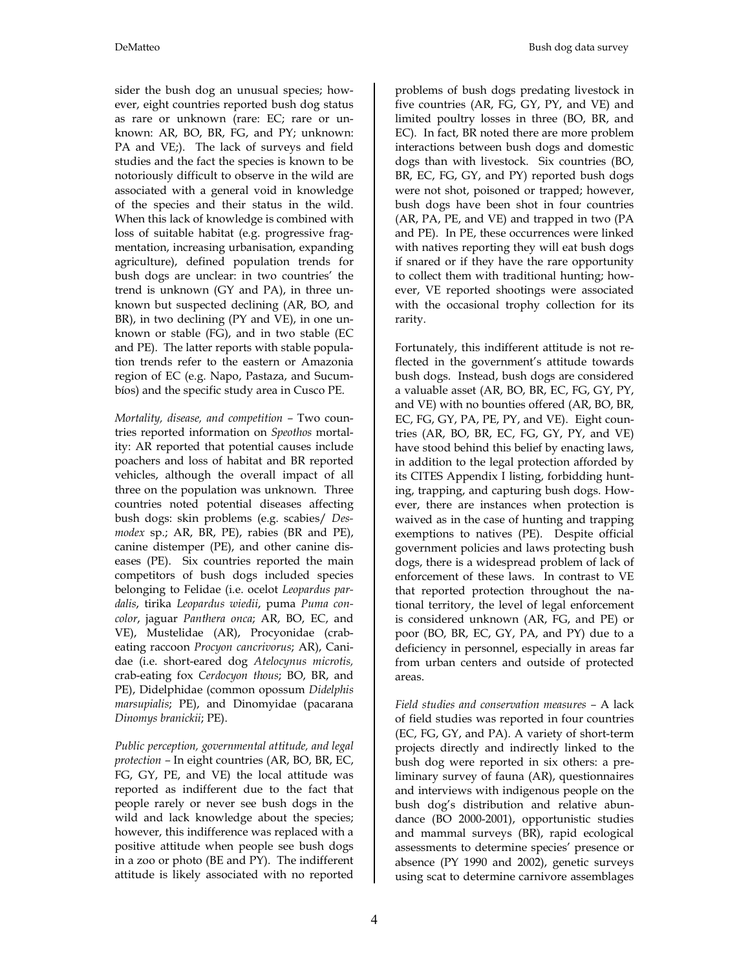sider the bush dog an unusual species; however, eight countries reported bush dog status as rare or unknown (rare: EC; rare or unknown: AR, BO, BR, FG, and PY; unknown: PA and VE;). The lack of surveys and field studies and the fact the species is known to be notoriously difficult to observe in the wild are associated with a general void in knowledge of the species and their status in the wild. When this lack of knowledge is combined with loss of suitable habitat (e.g. progressive fragmentation, increasing urbanisation, expanding agriculture), defined population trends for bush dogs are unclear: in two countries' the trend is unknown (GY and PA), in three unknown but suspected declining (AR, BO, and BR), in two declining (PY and VE), in one unknown or stable (FG), and in two stable (EC and PE). The latter reports with stable population trends refer to the eastern or Amazonia region of EC (e.g. Napo, Pastaza, and Sucumbíos) and the specific study area in Cusco PE.

*Mortality, disease, and competition –* Two countries reported information on *Speothos* mortality: AR reported that potential causes include poachers and loss of habitat and BR reported vehicles, although the overall impact of all three on the population was unknown. Three countries noted potential diseases affecting bush dogs: skin problems (e.g. scabies/ *Desmodex* sp.; AR, BR, PE), rabies (BR and PE), canine distemper (PE), and other canine diseases (PE). Six countries reported the main competitors of bush dogs included species belonging to Felidae (i.e. ocelot *Leopardus pardalis*, tirika *Leopardus wiedii*, puma *Puma concolor*, jaguar *Panthera onca*; AR, BO, EC, and VE), Mustelidae (AR), Procyonidae (crabeating raccoon *Procyon cancrivorus*; AR), Canidae (i.e. short-eared dog *Atelocynus microtis,* crab-eating fox *Cerdocyon thous*; BO, BR, and PE), Didelphidae (common opossum *Didelphis marsupialis*; PE), and Dinomyidae (pacarana *Dinomys branickii*; PE).

*Public perception, governmental attitude, and legal protection –* In eight countries (AR, BO, BR, EC, FG, GY, PE, and VE) the local attitude was reported as indifferent due to the fact that people rarely or never see bush dogs in the wild and lack knowledge about the species; however, this indifference was replaced with a positive attitude when people see bush dogs in a zoo or photo (BE and PY). The indifferent attitude is likely associated with no reported

problems of bush dogs predating livestock in five countries (AR, FG, GY, PY, and VE) and limited poultry losses in three (BO, BR, and EC). In fact, BR noted there are more problem interactions between bush dogs and domestic dogs than with livestock. Six countries (BO, BR, EC, FG, GY, and PY) reported bush dogs were not shot, poisoned or trapped; however, bush dogs have been shot in four countries (AR, PA, PE, and VE) and trapped in two (PA and PE). In PE, these occurrences were linked with natives reporting they will eat bush dogs if snared or if they have the rare opportunity to collect them with traditional hunting; however, VE reported shootings were associated with the occasional trophy collection for its rarity.

Fortunately, this indifferent attitude is not reflected in the government's attitude towards bush dogs. Instead, bush dogs are considered a valuable asset (AR, BO, BR, EC, FG, GY, PY, and VE) with no bounties offered (AR, BO, BR, EC, FG, GY, PA, PE, PY, and VE). Eight countries (AR, BO, BR, EC, FG, GY, PY, and VE) have stood behind this belief by enacting laws, in addition to the legal protection afforded by its CITES Appendix I listing, forbidding hunting, trapping, and capturing bush dogs. However, there are instances when protection is waived as in the case of hunting and trapping exemptions to natives (PE). Despite official government policies and laws protecting bush dogs, there is a widespread problem of lack of enforcement of these laws. In contrast to VE that reported protection throughout the national territory, the level of legal enforcement is considered unknown (AR, FG, and PE) or poor (BO, BR, EC, GY, PA, and PY) due to a deficiency in personnel, especially in areas far from urban centers and outside of protected areas.

*Field studies and conservation measures –* A lack of field studies was reported in four countries (EC, FG, GY, and PA). A variety of short-term projects directly and indirectly linked to the bush dog were reported in six others: a preliminary survey of fauna (AR), questionnaires and interviews with indigenous people on the bush dog's distribution and relative abundance (BO 2000-2001), opportunistic studies and mammal surveys (BR), rapid ecological assessments to determine species' presence or absence (PY 1990 and 2002), genetic surveys using scat to determine carnivore assemblages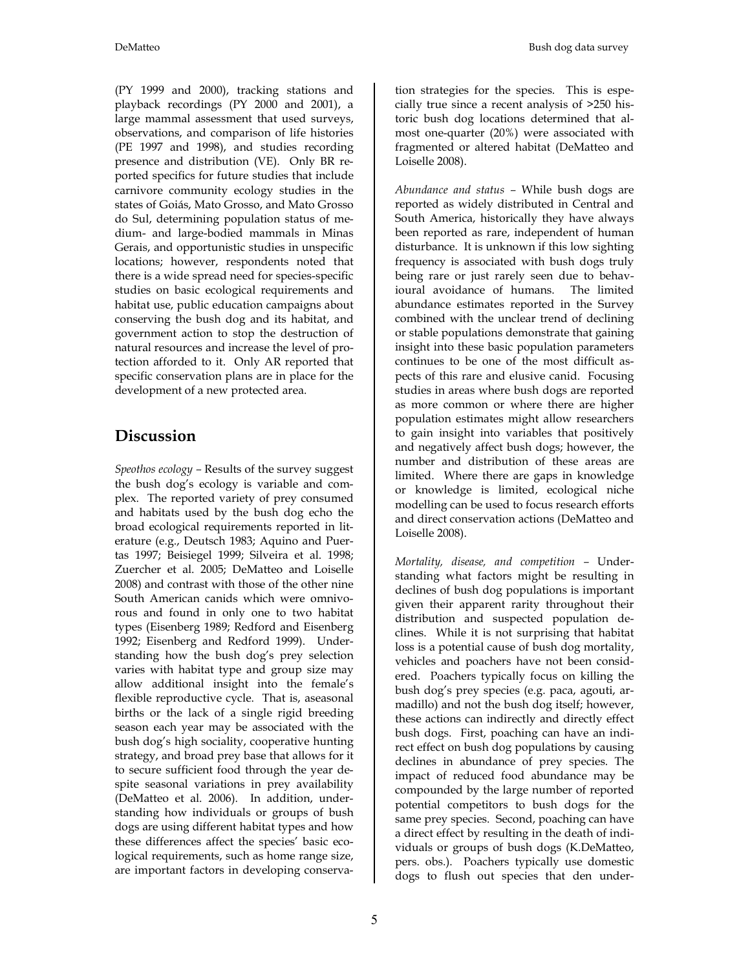(PY 1999 and 2000), tracking stations and playback recordings (PY 2000 and 2001), a large mammal assessment that used surveys, observations, and comparison of life histories (PE 1997 and 1998), and studies recording presence and distribution (VE). Only BR reported specifics for future studies that include carnivore community ecology studies in the states of Goiás, Mato Grosso, and Mato Grosso do Sul, determining population status of medium- and large-bodied mammals in Minas Gerais, and opportunistic studies in unspecific locations; however, respondents noted that there is a wide spread need for species-specific studies on basic ecological requirements and habitat use, public education campaigns about conserving the bush dog and its habitat, and government action to stop the destruction of natural resources and increase the level of protection afforded to it. Only AR reported that specific conservation plans are in place for the development of a new protected area.

# **Discussion**

*Speothos ecology –* Results of the survey suggest the bush dog's ecology is variable and complex. The reported variety of prey consumed and habitats used by the bush dog echo the broad ecological requirements reported in literature (e.g., Deutsch 1983; Aquino and Puertas 1997; Beisiegel 1999; Silveira et al. 1998; Zuercher et al. 2005; DeMatteo and Loiselle 2008) and contrast with those of the other nine South American canids which were omnivorous and found in only one to two habitat types (Eisenberg 1989; Redford and Eisenberg 1992; Eisenberg and Redford 1999). Understanding how the bush dog's prey selection varies with habitat type and group size may allow additional insight into the female's flexible reproductive cycle. That is, aseasonal births or the lack of a single rigid breeding season each year may be associated with the bush dog's high sociality, cooperative hunting strategy, and broad prey base that allows for it to secure sufficient food through the year despite seasonal variations in prey availability (DeMatteo et al. 2006). In addition, understanding how individuals or groups of bush dogs are using different habitat types and how these differences affect the species' basic ecological requirements, such as home range size, are important factors in developing conservation strategies for the species. This is especially true since a recent analysis of >250 historic bush dog locations determined that almost one-quarter (20%) were associated with fragmented or altered habitat (DeMatteo and Loiselle 2008).

*Abundance and status –* While bush dogs are reported as widely distributed in Central and South America, historically they have always been reported as rare, independent of human disturbance. It is unknown if this low sighting frequency is associated with bush dogs truly being rare or just rarely seen due to behavioural avoidance of humans. The limited abundance estimates reported in the Survey combined with the unclear trend of declining or stable populations demonstrate that gaining insight into these basic population parameters continues to be one of the most difficult aspects of this rare and elusive canid. Focusing studies in areas where bush dogs are reported as more common or where there are higher population estimates might allow researchers to gain insight into variables that positively and negatively affect bush dogs; however, the number and distribution of these areas are limited. Where there are gaps in knowledge or knowledge is limited, ecological niche modelling can be used to focus research efforts and direct conservation actions (DeMatteo and Loiselle 2008).

*Mortality, disease, and competition –* Understanding what factors might be resulting in declines of bush dog populations is important given their apparent rarity throughout their distribution and suspected population declines. While it is not surprising that habitat loss is a potential cause of bush dog mortality, vehicles and poachers have not been considered. Poachers typically focus on killing the bush dog's prey species (e.g. paca, agouti, armadillo) and not the bush dog itself; however, these actions can indirectly and directly effect bush dogs. First, poaching can have an indirect effect on bush dog populations by causing declines in abundance of prey species. The impact of reduced food abundance may be compounded by the large number of reported potential competitors to bush dogs for the same prey species. Second, poaching can have a direct effect by resulting in the death of individuals or groups of bush dogs (K.DeMatteo, pers. obs.). Poachers typically use domestic dogs to flush out species that den under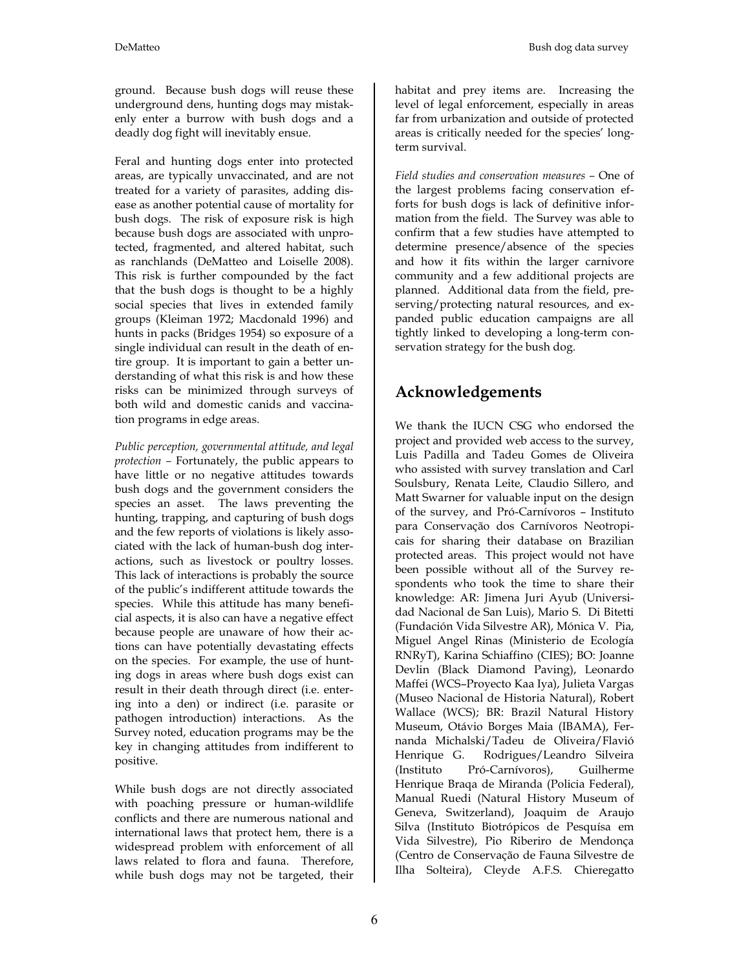ground. Because bush dogs will reuse these underground dens, hunting dogs may mistakenly enter a burrow with bush dogs and a deadly dog fight will inevitably ensue.

Feral and hunting dogs enter into protected areas, are typically unvaccinated, and are not treated for a variety of parasites, adding disease as another potential cause of mortality for bush dogs. The risk of exposure risk is high because bush dogs are associated with unprotected, fragmented, and altered habitat, such as ranchlands (DeMatteo and Loiselle 2008). This risk is further compounded by the fact that the bush dogs is thought to be a highly social species that lives in extended family groups (Kleiman 1972; Macdonald 1996) and hunts in packs (Bridges 1954) so exposure of a single individual can result in the death of entire group. It is important to gain a better understanding of what this risk is and how these risks can be minimized through surveys of both wild and domestic canids and vaccination programs in edge areas.

*Public perception, governmental attitude, and legal protection –* Fortunately, the public appears to have little or no negative attitudes towards bush dogs and the government considers the species an asset. The laws preventing the hunting, trapping, and capturing of bush dogs and the few reports of violations is likely associated with the lack of human-bush dog interactions, such as livestock or poultry losses. This lack of interactions is probably the source of the public's indifferent attitude towards the species. While this attitude has many beneficial aspects, it is also can have a negative effect because people are unaware of how their actions can have potentially devastating effects on the species. For example, the use of hunting dogs in areas where bush dogs exist can result in their death through direct (i.e. entering into a den) or indirect (i.e. parasite or pathogen introduction) interactions. As the Survey noted, education programs may be the key in changing attitudes from indifferent to positive.

While bush dogs are not directly associated with poaching pressure or human-wildlife conflicts and there are numerous national and international laws that protect hem, there is a widespread problem with enforcement of all laws related to flora and fauna. Therefore, while bush dogs may not be targeted, their

habitat and prey items are. Increasing the level of legal enforcement, especially in areas far from urbanization and outside of protected areas is critically needed for the species' longterm survival.

*Field studies and conservation measures –* One of the largest problems facing conservation efforts for bush dogs is lack of definitive information from the field. The Survey was able to confirm that a few studies have attempted to determine presence/absence of the species and how it fits within the larger carnivore community and a few additional projects are planned. Additional data from the field, preserving/protecting natural resources, and expanded public education campaigns are all tightly linked to developing a long-term conservation strategy for the bush dog.

# **Acknowledgements**

We thank the IUCN CSG who endorsed the project and provided web access to the survey, Luis Padilla and Tadeu Gomes de Oliveira who assisted with survey translation and Carl Soulsbury, Renata Leite, Claudio Sillero, and Matt Swarner for valuable input on the design of the survey, and Pró-Carnívoros – Instituto para Conservação dos Carnívoros Neotropicais for sharing their database on Brazilian protected areas. This project would not have been possible without all of the Survey respondents who took the time to share their knowledge: AR: Jimena Juri Ayub (Universidad Nacional de San Luis), Mario S. Di Bitetti (Fundación Vida Silvestre AR), Mónica V. Pia, Miguel Angel Rinas (Ministerio de Ecología RNRyT), Karina Schiaffino (CIES); BO: Joanne Devlin (Black Diamond Paving), Leonardo Maffei (WCS–Proyecto Kaa Iya), Julieta Vargas (Museo Nacional de Historia Natural), Robert Wallace (WCS); BR: Brazil Natural History Museum, Otávio Borges Maia (IBAMA), Fernanda Michalski/Tadeu de Oliveira/Flavió Henrique G. Rodrigues/Leandro Silveira (Instituto Pró-Carnívoros), Guilherme Henrique Braqa de Miranda (Policia Federal), Manual Ruedi (Natural History Museum of Geneva, Switzerland), Joaquim de Araujo Silva (Instituto Biotrópicos de Pesquísa em Vida Silvestre), Pio Riberiro de Mendonça (Centro de Conservação de Fauna Silvestre de Ilha Solteira), Cleyde A.F.S. Chieregatto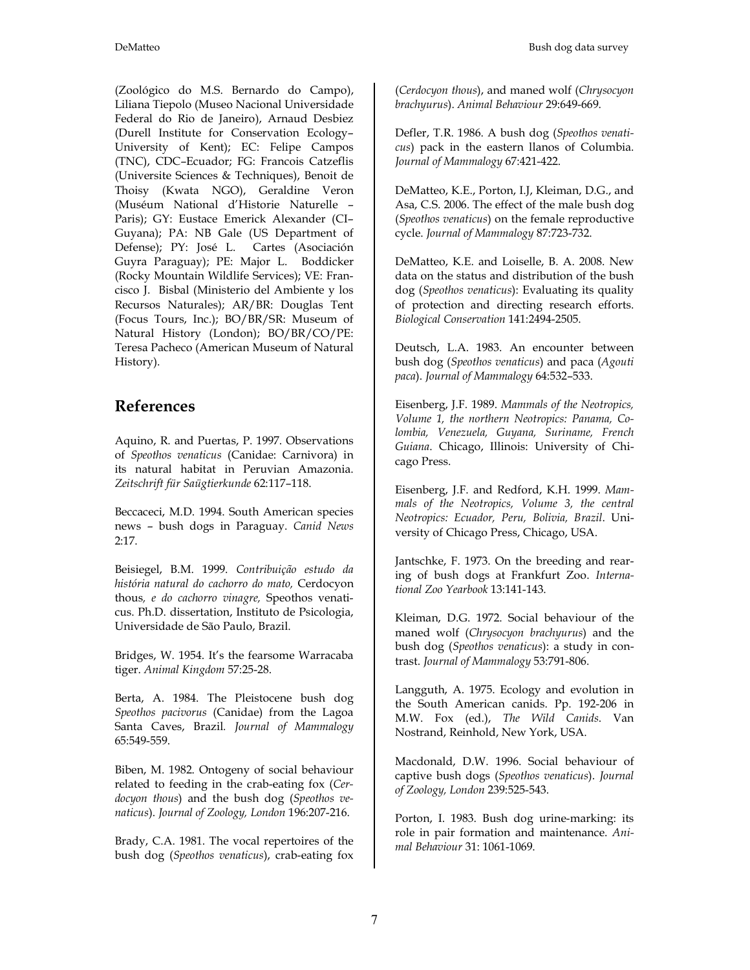(Zoológico do M.S. Bernardo do Campo), Liliana Tiepolo (Museo Nacional Universidade Federal do Rio de Janeiro), Arnaud Desbiez (Durell Institute for Conservation Ecology– University of Kent); EC: Felipe Campos (TNC), CDC–Ecuador; FG: Francois Catzeflis (Universite Sciences & Techniques), Benoit de Thoisy (Kwata NGO), Geraldine Veron (Muséum National d'Historie Naturelle – Paris); GY: Eustace Emerick Alexander (CI– Guyana); PA: NB Gale (US Department of Defense); PY: José L. Cartes (Asociación Guyra Paraguay); PE: Major L. Boddicker (Rocky Mountain Wildlife Services); VE: Francisco J. Bisbal (Ministerio del Ambiente y los Recursos Naturales); AR/BR: Douglas Tent (Focus Tours, Inc.); BO/BR/SR: Museum of Natural History (London); BO/BR/CO/PE: Teresa Pacheco (American Museum of Natural History).

## **References**

Aquino, R. and Puertas, P. 1997. Observations of *Speothos venaticus* (Canidae: Carnivora) in its natural habitat in Peruvian Amazonia. *Zeitschrift für Saügtierkunde* 62:117–118.

Beccaceci, M.D. 1994. South American species news – bush dogs in Paraguay. *Canid News* 2:17.

Beisiegel, B.M. 1999. *Contribuição estudo da história natural do cachorro do mato,* Cerdocyon thous*, e do cachorro vinagre,* Speothos venaticus. Ph.D. dissertation, Instituto de Psicologia, Universidade de São Paulo, Brazil.

Bridges, W. 1954. It's the fearsome Warracaba tiger. *Animal Kingdom* 57:25-28.

Berta, A. 1984. The Pleistocene bush dog *Speothos pacivorus* (Canidae) from the Lagoa Santa Caves, Brazil*. Journal of Mammalogy* 65:549-559.

Biben, M. 1982. Ontogeny of social behaviour related to feeding in the crab-eating fox (*Cerdocyon thous*) and the bush dog (*Speothos venaticus*). *Journal of Zoology, London* 196:207-216.

Brady, C.A. 1981. The vocal repertoires of the bush dog (*Speothos venaticus*), crab-eating fox

(*Cerdocyon thous*), and maned wolf (*Chrysocyon brachyurus*). *Animal Behaviour* 29:649-669.

Defler, T.R. 1986. A bush dog (*Speothos venaticus*) pack in the eastern llanos of Columbia. *Journal of Mammalogy* 67:421-422.

DeMatteo, K.E., Porton, I.J, Kleiman, D.G., and Asa, C.S. 2006. The effect of the male bush dog (*Speothos venaticus*) on the female reproductive cycle. *Journal of Mammalogy* 87:723-732.

DeMatteo, K.E. and Loiselle, B. A. 2008. New data on the status and distribution of the bush dog (*Speothos venaticus*): Evaluating its quality of protection and directing research efforts. *Biological Conservation* 141:2494-2505.

Deutsch, L.A. 1983. An encounter between bush dog (*Speothos venaticus*) and paca (*Agouti paca*). *Journal of Mammalogy* 64:532–533.

Eisenberg, J.F. 1989. *Mammals of the Neotropics, Volume 1, the northern Neotropics: Panama, Colombia, Venezuela, Guyana, Suriname, French Guiana*. Chicago, Illinois: University of Chicago Press.

Eisenberg, J.F. and Redford, K.H. 1999. *Mammals of the Neotropics, Volume 3, the central Neotropics: Ecuador, Peru, Bolivia, Brazil*. University of Chicago Press, Chicago, USA.

Jantschke, F. 1973. On the breeding and rearing of bush dogs at Frankfurt Zoo. *International Zoo Yearbook* 13:141-143.

Kleiman, D.G. 1972. Social behaviour of the maned wolf (*Chrysocyon brachyurus*) and the bush dog (*Speothos venaticus*): a study in contrast. *Journal of Mammalogy* 53:791-806.

Langguth, A. 1975. Ecology and evolution in the South American canids. Pp. 192-206 in M.W. Fox (ed.), *The Wild Canids*. Van Nostrand, Reinhold, New York, USA.

Macdonald, D.W. 1996. Social behaviour of captive bush dogs (*Speothos venaticus*). *Journal of Zoology, London* 239:525-543.

Porton, I. 1983. Bush dog urine-marking: its role in pair formation and maintenance. *Animal Behaviour* 31: 1061-1069.